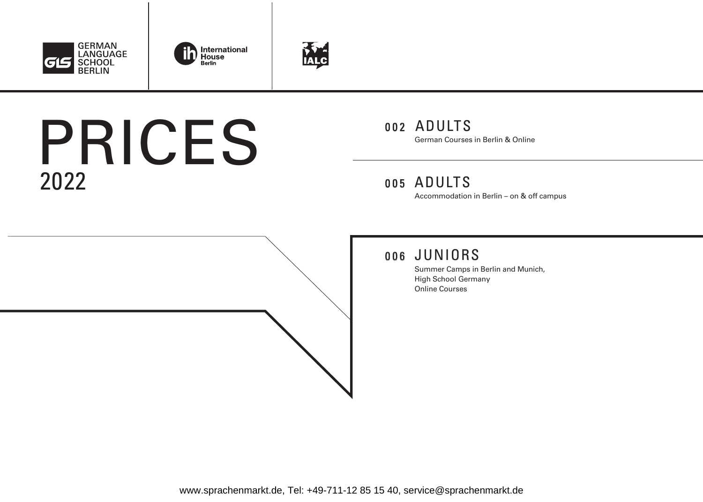





# 2022 PRICES

## 002 ADULTS German Courses in Berlin & Online

## 005 ADULTS

Accommodation in Berlin – on & off campus

## 006 JUNIORS

Summer Camps in Berlin and Munich, High School Germany Online Courses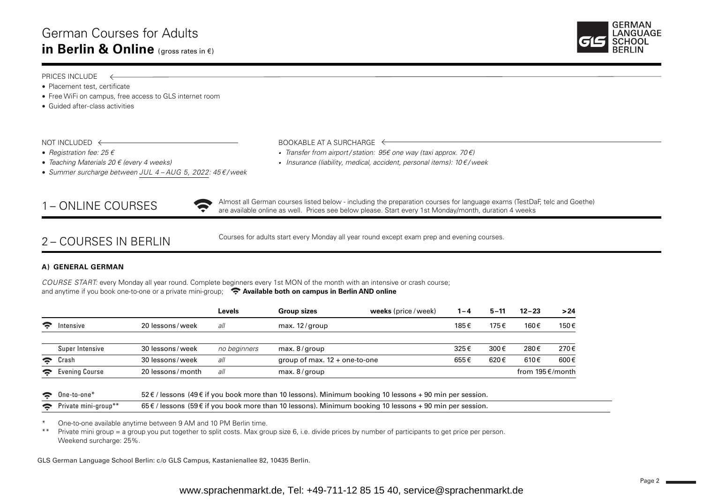

#### PRICES INCLUDE ←

- Placement test, certificate
- Free WiFi on campus, free access to GLS internet room
- Guided after-class activities

NOT INCLUDED  $\leftarrow$  BOOKABLE AT A SURCHARGE  $\leftarrow$ 

- 
- 
- *Summer surcharge between JUL 4 – AUG 5, 2022: 45 € / week*

- *Registration fee: 25 € • Transfer from airport / station: 95€ one way (taxi approx. 70 €)*
	- *Teaching Materials 20 € (every 4 weeks) • Insurance (liability, medical, accident, personal items): 10 € / week*



1 – ONLINE COURSES<br>are available online as well. Prices see below please. Start every 1st Monday/month, duration 4 weeks Almost all German courses listed below - including the preparation courses for language exams (TestDaF, telc and Goethe)

## 2 – COURSES IN BERLIN

Courses for adults start every Monday all year round except exam prep and evening courses.

#### **A) GENERAL GERMAN**

*COURSE START:* every Monday all year round. Complete beginners every 1st MON of the month with an intensive or crash course; and anytime if you book one-to-one or a private mini-group; **Available both on campus in Berlin AND online** 

|                        |                 |                  | Levels       | <b>Group sizes</b>              | weeks (price / week) | $1 - 4$ | $5 - 11$ | $12 - 23$       | >24  |
|------------------------|-----------------|------------------|--------------|---------------------------------|----------------------|---------|----------|-----------------|------|
| $\widehat{\mathbf{z}}$ | Intensive       | 20 lessons/week  | all          | max. $12$ /group                |                      | 185€    | 175€     | 160€            | 150€ |
|                        | Super Intensive | 30 lessons/week  | no beginners | max. $8$ /group                 |                      | 325€    | 300€     | 280€            | 270€ |
| $\tilde{\mathbf{z}}$   | Crash           | 30 lessons/week  | all          | group of max. $12 +$ one-to-one |                      | 655€    | 620€     | 610€            | 600€ |
| $\approx$              | Evening Course  | 20 lessons/month | all          | max. $8$ /group                 |                      |         |          | from 195€/month |      |

|  | $\bullet$ One-to-one* | $52 \text{ € }$ / lessons (49 € if you book more than 10 lessons). Minimum booking 10 lessons + 90 min per session. |
|--|-----------------------|---------------------------------------------------------------------------------------------------------------------|
|--|-----------------------|---------------------------------------------------------------------------------------------------------------------|

| $65 \text{ } \in$ / lessons (59 $\text{ } \in$ if you book more than 10 lessons). Minimum booking 10 lessons + 90 min per session.<br>$\rightarrow$<br>Private mini-u.<br>mini-aroup* |
|---------------------------------------------------------------------------------------------------------------------------------------------------------------------------------------|
|---------------------------------------------------------------------------------------------------------------------------------------------------------------------------------------|

\* One-to-one available anytime between 9 AM and 10 PM Berlin time.

\*\* Private mini group = a group you put together to split costs. Max group size 6, i.e. divide prices by number of participants to get price per person. Weekend surcharge: 25%.

GLS German Language School Berlin: c /o GLS Campus, Kastanienallee 82, 10435 Berlin.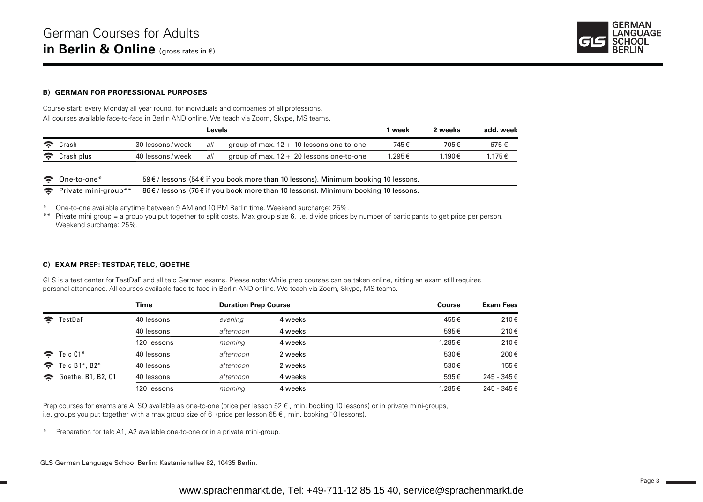

#### **B) GERMAN FOR PROFESSIONAL PURPOSES**

Course start: every Monday all year round, for individuals and companies of all professions. All courses available face-to-face in Berlin AND online. We teach via Zoom, Skype, MS teams.

|                          |                   | Levels |                                            | ∣ week | 2 weeks | add. week |
|--------------------------|-------------------|--------|--------------------------------------------|--------|---------|-----------|
| $\hat{\mathbf{z}}$ Crash | 30 lessons/week   | all    | group of max. $12 + 10$ lessons one-to-one | 745€   | 705€    | 675€      |
| Crash plus               | 40 lessons / week | all    | group of max. $12 + 20$ lessons one-to-one | 1.295€ | 1.190€  | 1.175€    |

| $\bullet$ One-to-one* | 59 € / lessons (54 € if you book more than 10 lessons). Minimum booking 10 lessons.                        |
|-----------------------|------------------------------------------------------------------------------------------------------------|
|                       | • Private mini-group** 86 € / lessons (76 € if you book more than 10 lessons). Minimum booking 10 lessons. |

\* One-to-one available anytime between 9 AM and 10 PM Berlin time. Weekend surcharge: 25%.

\*\* Private mini group = a group you put together to split costs. Max group size 6, i.e. divide prices by number of participants to get price per person. Weekend surcharge: 25%.

#### **C) EXAM PREP: TESTDAF, TELC, GOETHE**

GLS is a test center for TestDaF and all telc German exams. Please note: While prep courses can be taken online, sitting an exam still requires personal attendance. All courses available face-to-face in Berlin AND online. We teach via Zoom, Skype, MS teams.

|                         |                      | Time        | <b>Duration Prep Course</b> |         | Course | Exam Fees   |  |
|-------------------------|----------------------|-------------|-----------------------------|---------|--------|-------------|--|
| $\widehat{\mathbf{z}}$  | TestDaF              | 40 lessons  | evening                     | 4 weeks | 455€   | 210€        |  |
|                         |                      | 40 lessons  | afternoon                   | 4 weeks | 595€   | 210€        |  |
|                         |                      | 120 lessons | morning                     | 4 weeks | 1.285€ | 210€        |  |
| $\mathbf{S}$            | Telc C1*             | 40 lessons  | afternoon                   | 2 weeks | 530€   | 200€        |  |
| $\widehat{\mathcal{F}}$ | Telc $B1^*$ , $B2^*$ | 40 lessons  | afternoon                   | 2 weeks | 530€   | 155€        |  |
| $\approx$               | Goethe, B1, B2, C1   | 40 lessons  | afternoon                   | 4 weeks | 595€   | 245 - 345 € |  |
|                         |                      | 120 lessons | morning                     | 4 weeks | 1.285€ | 245 - 345 € |  |

Prep courses for exams are ALSO available as one-to-one (price per lesson 52 €, min. booking 10 lessons) or in private mini-groups, i.e. groups you put together with a max group size of 6 (price per lesson  $65 \in$ , min. booking 10 lessons).

\* Preparation for telc A1, A2 available one-to-one or in a private mini-group.

GLS German Language School Berlin: Kastanienallee 82, 10435 Berlin.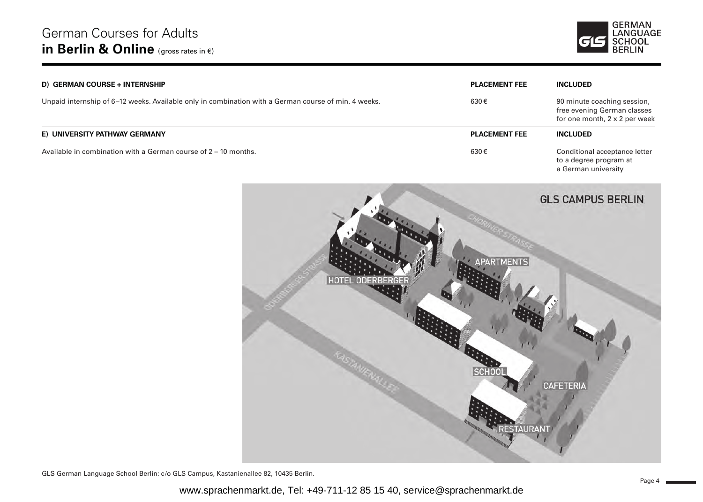

| D) GERMAN COURSE + INTERNSHIP                                                                        | <b>PLACEMENT FEE</b> | <b>INCLUDED</b>                                                                                    |
|------------------------------------------------------------------------------------------------------|----------------------|----------------------------------------------------------------------------------------------------|
| Unpaid internship of 6-12 weeks. Available only in combination with a German course of min. 4 weeks. | 630€                 | 90 minute coaching session,<br>free evening German classes<br>for one month, $2 \times 2$ per week |
| E) UNIVERSITY PATHWAY GERMANY                                                                        | <b>PLACEMENT FEE</b> | <b>INCLUDED</b>                                                                                    |
| Available in combination with a German course of $2 - 10$ months.                                    | 630€                 | Conditional acceptance letter<br>to a degree program at<br>a German university                     |



GLS German Language School Berlin: c /o GLS Campus, Kastanienallee 82, 10435 Berlin.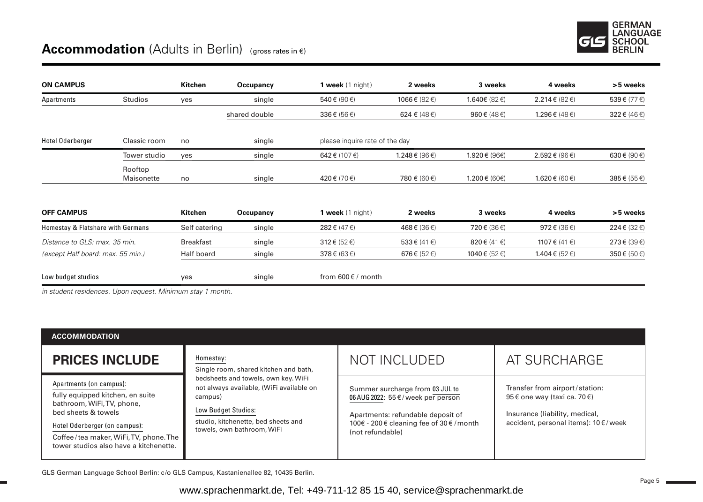## **Accommodation** (Adults in Berlin) (gross rates in €)

| <b>ON CAMPUS</b>                  |                       | Kitchen          | Occupancy     | 1 week $(1 \text{ night})$            | 2 weeks            | 3 weeks               | 4 weeks                               | >5 weeks                    |
|-----------------------------------|-----------------------|------------------|---------------|---------------------------------------|--------------------|-----------------------|---------------------------------------|-----------------------------|
| Apartments                        | <b>Studios</b>        | yes              | single        | 540 $\varepsilon$ (90 $\varepsilon$ ) | 1066€ (82€)        | 1.640€ (82 $∈$ )      | 2.214 € (82 €)                        | 539€ (77€)                  |
|                                   |                       |                  | shared double | $336 \in (56 \in)$                    | 624 € (48 €)       | 960 $\xi$ (48 $\xi$ ) | 1.296 € (48 €)                        | $322 \notin (46 \in)$       |
| Hotel Oderberger                  | Classic room          | no               | single        | please inquire rate of the day        |                    |                       |                                       |                             |
|                                   | Tower studio          | ves              | single        | 642 € (107 €)                         | 1.248 € (96 €)     | 1.920€ (96€)          | 2.592 € (96 $∈$ )                     | 630 $\notin$ (90 $\notin$ ) |
|                                   | Rooftop<br>Maisonette | no               | single        | 420€ (70€)                            | 780 € (60 €)       | 1.200€ (60€)          | $1.620 \in (60 \in)$                  | 385€ (55€)                  |
| <b>OFF CAMPUS</b>                 |                       | Kitchen          | Occupancy     | 1 week $(1 \text{ night})$            | 2 weeks            | 3 weeks               | 4 weeks                               | >5 weeks                    |
| Homestay & Flatshare with Germans |                       | Self catering    | single        | 282 € (47 €)                          | 468€ (36€)         | 720€ (36€)            | 972 $\varepsilon$ (36 $\varepsilon$ ) | 224€ (32€)                  |
| Distance to GLS: max. 35 min.     |                       | <b>Breakfast</b> | single        | $312 \notin (52 \in)$                 | 533 € (41 $∈$ )    | $820 \in (41 \in)$    | 1107 € $(41 \in)$                     | 273€ (39€)                  |
| (except Half board: max. 55 min.) |                       | Half board       | single        | $378 \in (63 \in)$                    | $676 \in (52 \in)$ | 1040 € (52 €)         | 1.404 € (52 $∈$ )                     | 350€ (50€)                  |
| Low budget studios                |                       | yes              | single        | from $600 \in \ell$ month             |                    |                       |                                       |                             |

*in student residences. Upon request. Minimum stay 1 month.* 

| <b>ACCOMMODATION</b>                                                                                                                                                                                                                  |                                                                                                                                                                                        |                                                                                                                                                                            |                                                                                                                                          |
|---------------------------------------------------------------------------------------------------------------------------------------------------------------------------------------------------------------------------------------|----------------------------------------------------------------------------------------------------------------------------------------------------------------------------------------|----------------------------------------------------------------------------------------------------------------------------------------------------------------------------|------------------------------------------------------------------------------------------------------------------------------------------|
| <b>PRICES INCLUDE</b>                                                                                                                                                                                                                 | Homestay:<br>Single room, shared kitchen and bath,                                                                                                                                     | <b>NOT INCLUDED</b>                                                                                                                                                        | AT SURCHARGE                                                                                                                             |
| Apartments (on campus):<br>fully equipped kitchen, en suite<br>bathroom, WiFi, TV, phone,<br>bed sheets & towels<br>Hotel Oderberger (on campus):<br>Coffee/tea maker, WiFi, TV, phone. The<br>tower studios also have a kitchenette. | bedsheets and towels, own key. WiFi<br>not always available, (WiFi available on<br>campus)<br>Low Budget Studios:<br>studio, kitchenette, bed sheets and<br>towels, own bathroom, WiFi | Summer surcharge from 03 JUL to<br>06 AUG 2022: 55 €/week per person<br>Apartments: refundable deposit of<br>100€ - 200 € cleaning fee of 30 € / month<br>(not refundable) | Transfer from airport/station:<br>95 € one way (taxi ca. 70 €)<br>Insurance (liability, medical,<br>accident, personal items): 10 €/week |

GLS German Language School Berlin: c /o GLS Campus, Kastanienallee 82, 10435 Berlin.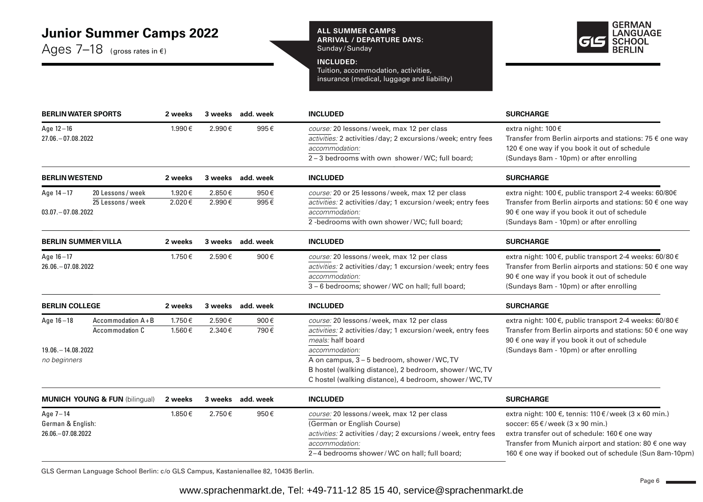## **Junior Summer Camps 2022**

Ages 7–18(gross rates in €)

**ALL SUMMER CAMPS ARRIVAL / DEPARTURE DAYS:**  Sunday / Sunday



#### **INCLUDED:**

Tuition, accommodation, activities, insurance (medical, luggage and liability)

| <b>BERLIN WATER SPORTS</b>                           |                                           | 2 weeks          |                  | 3 weeks add. week | <b>INCLUDED</b>                                                                                                                                                                                                                                      | <b>SURCHARGE</b>                                                                                                                                                                                                                                                          |  |  |
|------------------------------------------------------|-------------------------------------------|------------------|------------------|-------------------|------------------------------------------------------------------------------------------------------------------------------------------------------------------------------------------------------------------------------------------------------|---------------------------------------------------------------------------------------------------------------------------------------------------------------------------------------------------------------------------------------------------------------------------|--|--|
| Age $12 - 16$<br>27.06. - 07.08.2022                 |                                           | 1.990€           | 2.990€           | 995€              | course: 20 lessons/week, max 12 per class<br>activities: 2 activities/day; 2 excursions/week; entry fees<br>accommodation:<br>2-3 bedrooms with own shower/WC; full board;                                                                           | extra night: 100€<br>Transfer from Berlin airports and stations: 75 € one way<br>120 € one way if you book it out of schedule<br>(Sundays 8am - 10pm) or after enrolling                                                                                                  |  |  |
| <b>BERLIN WESTEND</b>                                |                                           | 2 weeks          |                  | 3 weeks add. week | <b>INCLUDED</b>                                                                                                                                                                                                                                      | <b>SURCHARGE</b>                                                                                                                                                                                                                                                          |  |  |
| Age $14 - 17$<br>$03.07 - 07.08.2022$                | 20 Lessons / week<br>25 Lessons / week    | 1.920€<br>2.020€ | 2.850€<br>2.990€ | 950€<br>995€      | course: 20 or 25 lessons/week, max 12 per class<br>activities: 2 activities/day; 1 excursion/week; entry fees<br>accommodation:<br>2-bedrooms with own shower/WC; full board;                                                                        | extra night: 100 €, public transport 2-4 weeks: 60/80€<br>Transfer from Berlin airports and stations: 50 $\epsilon$ one way<br>90 € one way if you book it out of schedule<br>(Sundays 8am - 10pm) or after enrolling                                                     |  |  |
| <b>BERLIN SUMMER VILLA</b>                           |                                           | 2 weeks          | 3 weeks          | add. week         | <b>INCLUDED</b>                                                                                                                                                                                                                                      | <b>SURCHARGE</b>                                                                                                                                                                                                                                                          |  |  |
| Age $16 - 17$<br>26.06. - 07.08.2022                 |                                           | 1.750€           | 2.590€           | 900€              | course: 20 lessons/week, max 12 per class<br>activities: 2 activities/day; 1 excursion/week; entry fees<br>accommodation:<br>3 - 6 bedrooms; shower/WC on hall; full board;                                                                          | extra night: 100 €, public transport 2-4 weeks: 60/80 €<br>Transfer from Berlin airports and stations: 50 $\epsilon$ one way<br>90 € one way if you book it out of schedule<br>(Sundays 8am - 10pm) or after enrolling                                                    |  |  |
| <b>BERLIN COLLEGE</b>                                |                                           | 2 weeks          |                  | 3 weeks add. week | <b>INCLUDED</b>                                                                                                                                                                                                                                      | <b>SURCHARGE</b>                                                                                                                                                                                                                                                          |  |  |
| Age $16 - 18$<br>19.06. - 14.08.2022<br>no beginners | Accommodation $A + B$<br>Accommodation C  | 1.750€<br>1.560€ | 2.590€<br>2.340€ | 900€<br>790€      | course: 20 lessons/week, max 12 per class<br>activities: 2 activities/day; 1 excursion/week, entry fees<br>meals: half board<br>accommodation:<br>A on campus, 3 - 5 bedroom, shower/WC, TV<br>B hostel (walking distance), 2 bedroom, shower/WC, TV | extra night: 100 €, public transport 2-4 weeks: 60/80 €<br>Transfer from Berlin airports and stations: 50 € one way<br>90 € one way if you book it out of schedule<br>(Sundays 8am - 10pm) or after enrolling                                                             |  |  |
|                                                      | <b>MUNICH YOUNG &amp; FUN (bilingual)</b> | 2 weeks          |                  | 3 weeks add. week | C hostel (walking distance), 4 bedroom, shower/WC, TV<br><b>INCLUDED</b>                                                                                                                                                                             | <b>SURCHARGE</b>                                                                                                                                                                                                                                                          |  |  |
| Age 7-14<br>German & English:<br>26.06. - 07.08.2022 |                                           | 1.850€           | 2.750€           | 950€              | course: 20 lessons/week, max 12 per class<br>(German or English Course)<br>activities: 2 activities / day; 2 excursions / week, entry fees<br>accommodation:<br>2-4 bedrooms shower/WC on hall; full board;                                          | extra night: 100 €, tennis: 110 €/week (3 x 60 min.)<br>soccer: $65 \in$ /week (3 x 90 min.)<br>extra transfer out of schedule: 160€ one way<br>Transfer from Munich airport and station: 80 $\epsilon$ one way<br>160 € one way if booked out of schedule (Sun 8am-10pm) |  |  |

GLS German Language School Berlin: c/o GLS Campus, Kastanienallee 82, 10435 Berlin.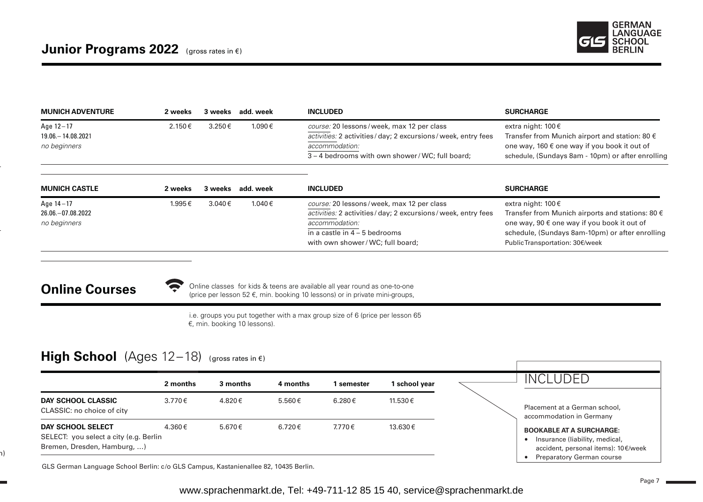

| <b>MUNICH ADVENTURE</b> | 2 weeks | 3 weeks | add. week | <b>INCLUDED</b>                                             | <b>SURCHARGE</b>                                        |
|-------------------------|---------|---------|-----------|-------------------------------------------------------------|---------------------------------------------------------|
| Age 12-17               | 2.150€  | 3.250€  | 1.090€    | course: 20 lessons/week, max 12 per class                   | extra night: 100 $\epsilon$                             |
| 19.06. - 14.08.2021     |         |         |           | activities: 2 activities/day; 2 excursions/week, entry fees | Transfer from Munich airport and station: 80 $\epsilon$ |
| no beginners            |         |         |           | accommodation:                                              | one way, 160 € one way if you book it out of            |
|                         |         |         |           | 3 – 4 bedrooms with own shower/WC; full board;              | schedule, (Sundays 8am - 10pm) or after enrolling       |
|                         |         |         |           |                                                             |                                                         |

| <b>MUNICH CASTLE</b> | 2 weeks | 3 weeks | add. week | <b>INCLUDED</b>                                                 | <b>SURCHARGE</b>                                          |
|----------------------|---------|---------|-----------|-----------------------------------------------------------------|-----------------------------------------------------------|
| Age 14-17            | 1.995€  | 3.040€  | 1.040€    | course: 20 lessons/week, max 12 per class                       | extra night: 100€                                         |
| 26.06.-07.08.2022    |         |         |           | activities: 2 activities / day; 2 excursions / week, entry fees | Transfer from Munich airports and stations: 80 $\epsilon$ |
| no beginners         |         |         |           | accommodation:                                                  | one way, 90 € one way if you book it out of               |
|                      |         |         |           | in a castle in $4 - 5$ bedrooms                                 | schedule, (Sundays 8am-10pm) or after enrolling           |
|                      |         |         |           | with own shower/WC; full board;                                 | PublicTransportation: 30€/week                            |

## **Online Courses**

( ר

Online classes for kids & teens are available all year round as one-to-one (price per lesson 52 €, min. booking 10 lessons) or in private mini-groups,

i.e. groups you put together with a max group size of 6 (price per lesson 65 €, min. booking 10 lessons).

## High School (Ages 12-18) (gross rates in €)

| 11.530€<br>4.820€<br>6.280 €<br><b>DAY SCHOOL CLASSIC</b><br>3.770€<br>5.560€<br>Placement at a German school,<br>CLASSIC: no choice of city<br>accommodation in Germany<br>4.360€<br>5.670€<br>7.770€<br>13.630€<br>6.720€<br>DAY SCHOOL SELECT<br><b>BOOKABLE AT A SURCHARGE:</b><br>SELECT: you select a city (e.g. Berlin<br>Insurance (liability, medical,<br>Bremen, Dresden, Hamburg, ) | 2 months | 3 months | 4 months | l semester | school year | <b>INCLUDED</b>                     |
|------------------------------------------------------------------------------------------------------------------------------------------------------------------------------------------------------------------------------------------------------------------------------------------------------------------------------------------------------------------------------------------------|----------|----------|----------|------------|-------------|-------------------------------------|
|                                                                                                                                                                                                                                                                                                                                                                                                |          |          |          |            |             |                                     |
|                                                                                                                                                                                                                                                                                                                                                                                                |          |          |          |            |             | accident, personal items): 10€/week |

GLS German Language School Berlin: c /o GLS Campus, Kastanienallee 82, 10435 Berlin.

 $\bullet$